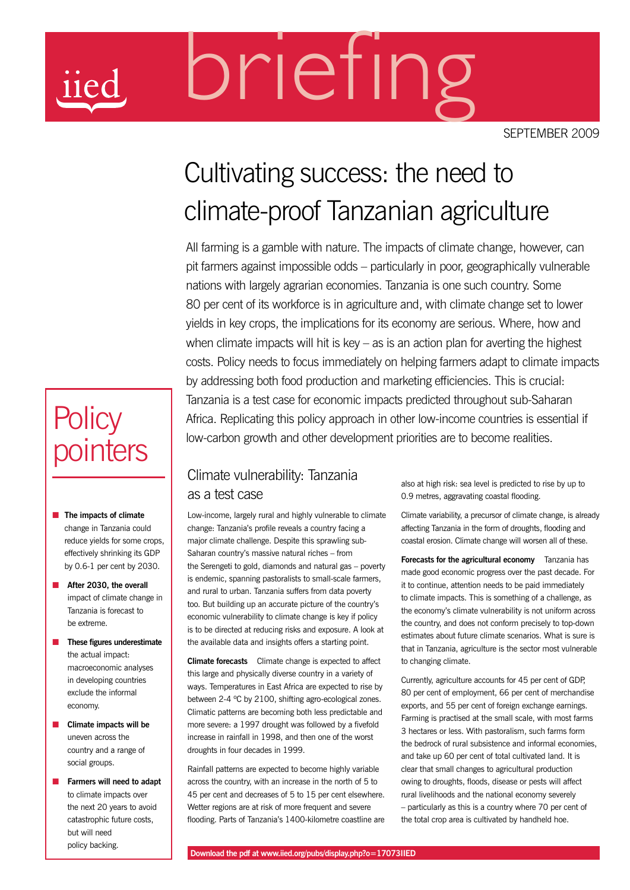# briefing

september 2009

# ULTUVALITIE SUCCESS: LITE TIEE<br>Climate-proof Tanzanian agricularism<br>All farming is a gamble with nature. The impacts of climate<br>pit farmers against impossible odds – particularly in poor. get Cultivating success: the need to climate-proof Tanzanian agriculture

yields in key crops, the implications for its economy are seri<br>when climate impacts will hit is key – as is an action plan for<br>costs. Policy needs to focus immediately on helping farmers<br>by addressing both food production All farming is a gamble with nature. The impacts of climate change, however, can pit farmers against impossible odds – particularly in poor, geographically vulnerable nations with largely agrarian economies. Tanzania is one such country. Some 80 per cent of its workforce is in agriculture and, with climate change set to lower yields in key crops, the implications for its economy are serious. Where, how and when climate impacts will hit is key – as is an action plan for averting the highest costs. Policy needs to focus immediately on helping farmers adapt to climate impacts by addressing both food production and marketing efficiencies. This is crucial: Tanzania is a test case for economic impacts predicted throughout sub-Saharan Africa. Replicating this policy approach in other low-income countries is essential if low-carbon growth and other development priorities are to become realities.

## Climate vulnerability: Tanzania as a test case

Low-income, largely rural and highly vulnerable to climate change: Tanzania's profile reveals a country facing a major climate challenge. Despite this sprawling sub-Saharan country's massive natural riches – from the Serengeti to gold, diamonds and natural gas – poverty is endemic, spanning pastoralists to small-scale farmers, and rural to urban. Tanzania suffers from data poverty too. But building up an accurate picture of the country's economic vulnerability to climate change is key if policy is to be directed at reducing risks and exposure. A look at the available data and insights offers a starting point.

**Climate forecasts** Climate change is expected to affect this large and physically diverse country in a variety of ways. Temperatures in East Africa are expected to rise by between 2-4 ºC by 2100, shifting agro-ecological zones. Climatic patterns are becoming both less predictable and more severe: a 1997 drought was followed by a fivefold increase in rainfall in 1998, and then one of the worst droughts in four decades in 1999.

Rainfall patterns are expected to become highly variable across the country, with an increase in the north of 5 to 45 per cent and decreases of 5 to 15 per cent elsewhere. Wetter regions are at risk of more frequent and severe flooding. Parts of Tanzania's 1400-kilometre coastline are also at high risk: sea level is predicted to rise by up to 0.9 metres, aggravating coastal flooding.

Climate variability, a precursor of climate change, is already affecting Tanzania in the form of droughts, flooding and coastal erosion. Climate change will worsen all of these.

**Forecasts for the agricultural economy** Tanzania has made good economic progress over the past decade. For it to continue, attention needs to be paid immediately to climate impacts. This is something of a challenge, as the economy's climate vulnerability is not uniform across the country, and does not conform precisely to top-down estimates about future climate scenarios. What is sure is that in Tanzania, agriculture is the sector most vulnerable to changing climate.

Currently, agriculture accounts for 45 per cent of GDP, 80 per cent of employment, 66 per cent of merchandise exports, and 55 per cent of foreign exchange earnings. Farming is practised at the small scale, with most farms 3 hectares or less. With pastoralism, such farms form the bedrock of rural subsistence and informal economies, and take up 60 per cent of total cultivated land. It is clear that small changes to agricultural production owing to droughts, floods, disease or pests will affect rural livelihoods and the national economy severely – particularly as this is a country where 70 per cent of the total crop area is cultivated by handheld hoe.

# **Policy** pointers

- **n** The impacts of climate change in Tanzania could reduce yields for some crops, effectively shrinking its GDP by 0.6-1 per cent by 2030.
- **n** After 2030, the overall impact of climate change in Tanzania is forecast to be extreme.
- n **These figures underestimate**  the actual impact: macroeconomic analyses in developing countries exclude the informal economy.
- n **Climate impacts will be** uneven across the country and a range of social groups.
- **n** Farmers will need to adapt to climate impacts over the next 20 years to avoid catastrophic future costs, but will need policy backing.